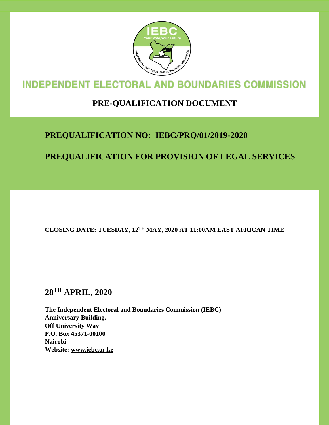

# **INDEPENDENT ELECTORAL AND BOUNDARIES COMMISSION**

## **PRE-QUALIFICATION DOCUMENT**

## **PREQUALIFICATION NO: IEBC/PRQ/01/2019-2020**

## **PREQUALIFICATION FOR PROVISION OF LEGAL SERVICES**

**CLOSING DATE: TUESDAY, 12TH MAY, 2020 AT 11:00AM EAST AFRICAN TIME**

## **28TH APRIL, 2020**

**The Independent Electoral and Boundaries Commission (IEBC) Anniversary Building, Off University Way P.O. Box 45371-00100 Nairobi Website: www.iebc.or.ke**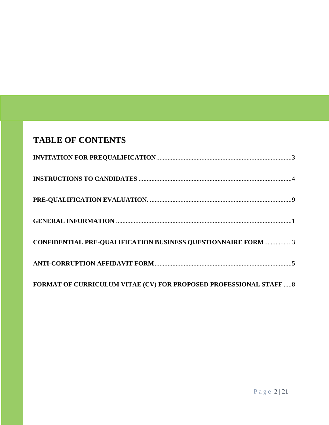## **TABLE OF CONTENTS**

| <b>CONFIDENTIAL PRE-QUALIFICATION BUSINESS QUESTIONNAIRE FORM 3</b> |  |
|---------------------------------------------------------------------|--|
|                                                                     |  |
| FORMAT OF CURRICULUM VITAE (CV) FOR PROPOSED PROFESSIONAL STAFF  8  |  |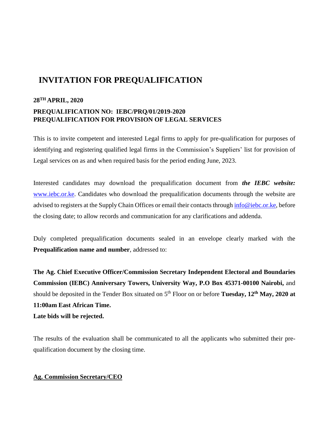## <span id="page-2-0"></span>**INVITATION FOR PREQUALIFICATION**

### **28TH APRIL, 2020 PREQUALIFICATION NO: IEBC/PRQ/01/2019-2020 PREQUALIFICATION FOR PROVISION OF LEGAL SERVICES**

This is to invite competent and interested Legal firms to apply for pre-qualification for purposes of identifying and registering qualified legal firms in the Commission's Suppliers' list for provision of Legal services on as and when required basis for the period ending June, 2023.

Interested candidates may download the prequalification document from *the IEBC website:*  [www.iebc.or.ke.](http://www.iebc.or.ke/) Candidates who download the prequalification documents through the website are advised to registers at the Supply Chain Offices or email their contacts through [info@iebc.or.ke,](mailto:info@iebc.or.ke) before the closing date; to allow records and communication for any clarifications and addenda.

Duly completed prequalification documents sealed in an envelope clearly marked with the **Prequalification name and number**, addressed to:

**The Ag. Chief Executive Officer/Commission Secretary Independent Electoral and Boundaries Commission (IEBC) Anniversary Towers, University Way, P.O Box 45371-00100 Nairobi,** and should be deposited in the Tender Box situated on 5th Floor on or before **Tuesday, 12th May, 2020 at 11:00am East African Time. Late bids will be rejected.**

The results of the evaluation shall be communicated to all the applicants who submitted their prequalification document by the closing time.

#### **Ag. Commission Secretary/CEO**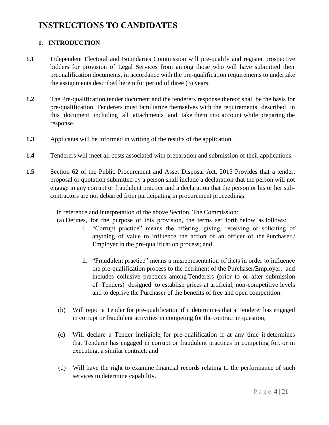## <span id="page-3-0"></span>**INSTRUCTIONS TO CANDIDATES**

### **1. INTRODUCTION**

- **1.1** Independent Electoral and Boundaries Commission will pre-qualify and register prospective bidders for provision of Legal Services from among those who will have submitted their prequalification documents, in accordance with the pre-qualification requirements to undertake the assignments described herein for period of three (3) years.
- **1.2** The Pre-qualification tender document and the tenderers response thereof shall be the basis for pre-qualification. Tenderers must familiarize themselves with the requirements described in this document including all attachments and take them into account while preparing the response.
- **1.3** Applicants will be informed in writing of the results of the application.
- **1.4** Tenderers will meet all costs associated with preparation and submission of their applications.
- **1.5** Section 62 of the Public Procurement and Asset Disposal Act, 2015 Provides that a tender, proposal or quotation submitted by a person shall include a declaration that the person will not engage in any corrupt or fraudulent practice and a declaration that the person or his or her subcontractors are not debarred from participating in procurement proceedings.

In reference and interpretation of the above Section, The Commission:

- (a) Defines, for the purpose of this provision, the terms set forth below as follows:
	- i. "Corrupt practice" means the offering, giving, receiving or soliciting of anything of value to influence the action of an officer of the Purchaser / Employer in the pre-qualification process; and
	- ii. "Fraudulent practice" means a misrepresentation of facts in order to influence the pre-qualification process to the detriment of the Purchaser/Employer, and includes collusive practices among Tenderers (prior to or after submission of Tenders) designed to establish prices at artificial, non-competitive levels and to deprive the Purchaser of the benefits of free and open competition.
- (b) Will reject a Tender for pre-qualification if it determines that a Tenderer has engaged in corrupt or fraudulent activities in competing for the contract in question;
- (c) Will declare a Tender ineligible, for pre-qualification if at any time it determines that Tenderer has engaged in corrupt or fraudulent practices in competing for, or in executing, a similar contract; and
- (d) Will have the right to examine financial records relating to the performance of such services to determine capability.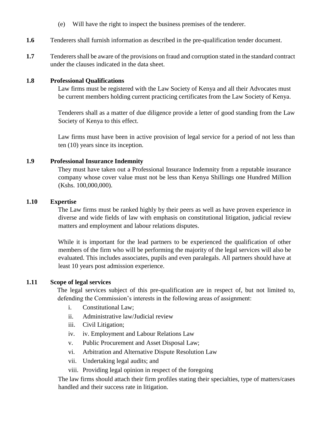- (e) Will have the right to inspect the business premises of the tenderer.
- **1.6** Tenderers shall furnish information as described in the pre-qualification tender document.
- **1.7** Tenderers shall be aware of the provisions on fraud and corruption stated in the standard contract under the clauses indicated in the data sheet.

#### **1.8 Professional Qualifications**

Law firms must be registered with the Law Society of Kenya and all their Advocates must be current members holding current practicing certificates from the Law Society of Kenya.

Tenderers shall as a matter of due diligence provide a letter of good standing from the Law Society of Kenya to this effect.

Law firms must have been in active provision of legal service for a period of not less than ten (10) years since its inception.

#### **1.9 Professional Insurance Indemnity**

They must have taken out a Professional Insurance Indemnity from a reputable insurance company whose cover value must not be less than Kenya Shillings one Hundred Million (Kshs. 100,000,000).

#### **1.10 Expertise**

The Law firms must be ranked highly by their peers as well as have proven experience in diverse and wide fields of law with emphasis on constitutional litigation, judicial review matters and employment and labour relations disputes.

While it is important for the lead partners to be experienced the qualification of other members of the firm who will be performing the majority of the legal services will also be evaluated. This includes associates, pupils and even paralegals. All partners should have at least 10 years post admission experience.

#### **1.11 Scope of legal services**

The legal services subject of this pre-qualification are in respect of, but not limited to, defending the Commission's interests in the following areas of assignment:

- i. Constitutional Law;
- ii. Administrative law/Judicial review
- iii. Civil Litigation;
- iv. iv. Employment and Labour Relations Law
- v. Public Procurement and Asset Disposal Law;
- vi. Arbitration and Alternative Dispute Resolution Law
- vii. Undertaking legal audits; and
- viii. Providing legal opinion in respect of the foregoing

The law firms should attach their firm profiles stating their specialties, type of matters/cases handled and their success rate in litigation.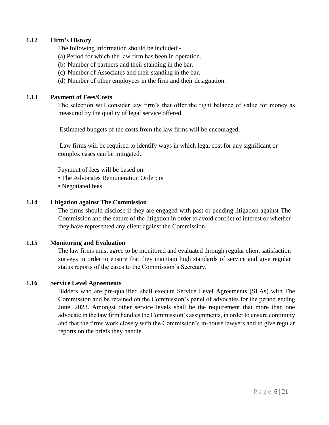#### **1.12 Firm's History**

The following information should be included:-

- (a) Period for which the law firm has been in operation.
- (b) Number of partners and their standing in the bar.
- (c) Number of Associates and their standing in the bar.
- (d) Number of other employees in the firm and their designation.

#### **1.13 Payment of Fees/Costs**

The selection will consider law firm's that offer the right balance of value for money as measured by the quality of legal service offered.

Estimated budgets of the costs from the law firms will be encouraged.

Law firms will be required to identify ways in which legal cost for any significant or complex cases can be mitigated.

Payment of fees will be based on:

- The Advocates Remuneration Order; or
- Negotiated fees

#### **1.14 Litigation against The Commission**

The firms should disclose if they are engaged with past or pending litigation against The Commission and the nature of the litigation in order to avoid conflict of interest or whether they have represented any client against the Commission.

#### **1.15 Monitoring and Evaluation**

The law firms must agree to be monitored and evaluated through regular client satisfaction surveys in order to ensure that they maintain high standards of service and give regular status reports of the cases to the Commission's Secretary.

#### **1.16 Service Level Agreements**

Bidders who are pre-qualified shall execute Service Level Agreements (SLAs) with The Commission and be retained on the Commission's panel of advocates for the period ending June, 2023. Amongst other service levels shall be the requirement that more than one advocate in the law firm handles the Commission's assignments, in order to ensure continuity and that the firms work closely with the Commission's in-house lawyers and to give regular reports on the briefs they handle.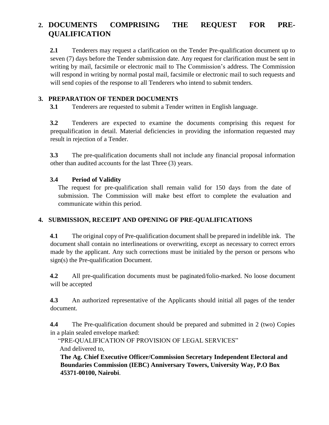## **2. DOCUMENTS COMPRISING THE REQUEST FOR PRE-QUALIFICATION**

**2.1** Tenderers may request a clarification on the Tender Pre-qualification document up to seven (7) days before the Tender submission date. Any request for clarification must be sent in writing by mail, facsimile or electronic mail to The Commission's address. The Commission will respond in writing by normal postal mail, facsimile or electronic mail to such requests and will send copies of the response to all Tenderers who intend to submit tenders.

#### **3. PREPARATION OF TENDER DOCUMENTS**

**3.1** Tenderers are requested to submit a Tender written in English language.

**3.2** Tenderers are expected to examine the documents comprising this request for prequalification in detail. Material deficiencies in providing the information requested may result in rejection of a Tender.

**3.3** The pre-qualification documents shall not include any financial proposal information other than audited accounts for the last Three (3) years.

#### **3.4 Period of Validity**

The request for pre-qualification shall remain valid for 150 days from the date of submission. The Commission will make best effort to complete the evaluation and communicate within this period.

### **4. SUBMISSION, RECEIPT AND OPENING OF PRE-QUALIFICATIONS**

**4.1** The original copy of Pre-qualification document shall be prepared in indelible ink. The document shall contain no interlineations or overwriting, except as necessary to correct errors made by the applicant. Any such corrections must be initialed by the person or persons who sign(s) the Pre-qualification Document.

**4.2** All pre-qualification documents must be paginated/folio-marked. No loose document will be accepted

**4.3** An authorized representative of the Applicants should initial all pages of the tender document.

**4.4** The Pre-qualification document should be prepared and submitted in 2 (two) Copies in a plain sealed envelope marked:

"PRE-QUALIFICATION OF PROVISION OF LEGAL SERVICES" And delivered to,

**The Ag. Chief Executive Officer/Commission Secretary Independent Electoral and Boundaries Commission (IEBC) Anniversary Towers, University Way, P.O Box 45371-00100, Nairobi**.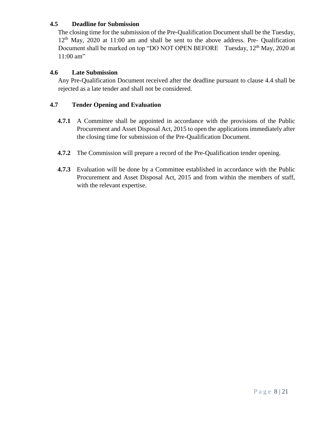#### **4.5 Deadline for Submission**

The closing time for the submission of the Pre-Qualification Document shall be the Tuesday, 12th May, 2020 at 11:00 am and shall be sent to the above address. Pre- Qualification Document shall be marked on top "DO NOT OPEN BEFORE Tuesday, 12<sup>th</sup> May, 2020 at 11:00 am"

#### **4.6 Late Submission**

Any Pre-Qualification Document received after the deadline pursuant to clause 4.4 shall be rejected as a late tender and shall not be considered.

#### **4.7 Tender Opening and Evaluation**

- **4.7.1** A Committee shall be appointed in accordance with the provisions of the Public Procurement and Asset Disposal Act, 2015 to open the applications immediately after the closing time for submission of the Pre-Qualification Document.
- **4.7.2** The Commission will prepare a record of the Pre-Qualification tender opening.
- **4.7.3** Evaluation will be done by a Committee established in accordance with the Public Procurement and Asset Disposal Act, 2015 and from within the members of staff, with the relevant expertise.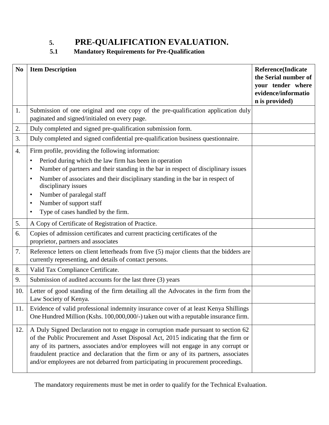## <span id="page-8-0"></span>**5. PRE-QUALIFICATION EVALUATION.**

### **5.1 Mandatory Requirements for Pre-Qualification**

| N <sub>0</sub> | <b>Item Description</b>                                                                                                                                                                                                                                                                                                                                                                                                                   | <b>Reference</b> (Indicate<br>the Serial number of<br>your tender where<br>evidence/informatio<br>n is provided) |
|----------------|-------------------------------------------------------------------------------------------------------------------------------------------------------------------------------------------------------------------------------------------------------------------------------------------------------------------------------------------------------------------------------------------------------------------------------------------|------------------------------------------------------------------------------------------------------------------|
| 1.             | Submission of one original and one copy of the pre-qualification application duly<br>paginated and signed/initialed on every page.                                                                                                                                                                                                                                                                                                        |                                                                                                                  |
| 2.             | Duly completed and signed pre-qualification submission form.                                                                                                                                                                                                                                                                                                                                                                              |                                                                                                                  |
| 3.             | Duly completed and signed confidential pre-qualification business questionnaire.                                                                                                                                                                                                                                                                                                                                                          |                                                                                                                  |
| 4.             | Firm profile, providing the following information:<br>Period during which the law firm has been in operation<br>$\bullet$<br>Number of partners and their standing in the bar in respect of disciplinary issues<br>Number of associates and their disciplinary standing in the bar in respect of<br>disciplinary issues<br>Number of paralegal staff<br>Number of support staff<br>Type of cases handled by the firm.<br>$\bullet$        |                                                                                                                  |
| 5.             | A Copy of Certificate of Registration of Practice.                                                                                                                                                                                                                                                                                                                                                                                        |                                                                                                                  |
| 6.             | Copies of admission certificates and current practicing certificates of the<br>proprietor, partners and associates                                                                                                                                                                                                                                                                                                                        |                                                                                                                  |
| 7.             | Reference letters on client letterheads from five (5) major clients that the bidders are<br>currently representing, and details of contact persons.                                                                                                                                                                                                                                                                                       |                                                                                                                  |
| 8.             | Valid Tax Compliance Certificate.                                                                                                                                                                                                                                                                                                                                                                                                         |                                                                                                                  |
| 9.             | Submission of audited accounts for the last three (3) years                                                                                                                                                                                                                                                                                                                                                                               |                                                                                                                  |
| 10.            | Letter of good standing of the firm detailing all the Advocates in the firm from the<br>Law Society of Kenya.                                                                                                                                                                                                                                                                                                                             |                                                                                                                  |
| 11.            | Evidence of valid professional indemnity insurance cover of at least Kenya Shillings<br>One Hundred Million (Kshs. 100,000,000/-) taken out with a reputable insurance firm.                                                                                                                                                                                                                                                              |                                                                                                                  |
| 12.            | A Duly Signed Declaration not to engage in corruption made pursuant to section 62<br>of the Public Procurement and Asset Disposal Act, 2015 indicating that the firm or<br>any of its partners, associates and/or employees will not engage in any corrupt or<br>fraudulent practice and declaration that the firm or any of its partners, associates<br>and/or employees are not debarred from participating in procurement proceedings. |                                                                                                                  |

The mandatory requirements must be met in order to qualify for the Technical Evaluation.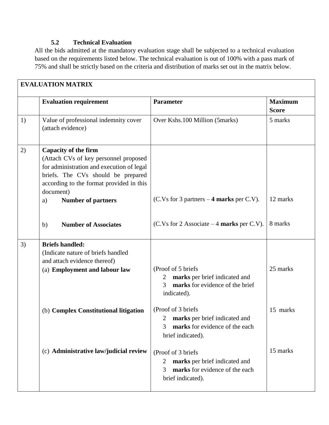### **5.2 Technical Evaluation**

All the bids admitted at the mandatory evaluation stage shall be subjected to a technical evaluation based on the requirements listed below. The technical evaluation is out of 100% with a pass mark of 75% and shall be strictly based on the criteria and distribution of marks set out in the matrix below.

|    | <b>EVALUATION MATRIX</b>                                                                                                                                                                                                                            |                                                                                                                              |                                |
|----|-----------------------------------------------------------------------------------------------------------------------------------------------------------------------------------------------------------------------------------------------------|------------------------------------------------------------------------------------------------------------------------------|--------------------------------|
|    | <b>Evaluation requirement</b>                                                                                                                                                                                                                       | <b>Parameter</b>                                                                                                             | <b>Maximum</b><br><b>Score</b> |
| 1) | Value of professional indemnity cover<br>(attach evidence)                                                                                                                                                                                          | Over Kshs.100 Million (5marks)                                                                                               | 5 marks                        |
| 2) | <b>Capacity of the firm</b><br>(Attach CVs of key personnel proposed<br>for administration and execution of legal<br>briefs. The CVs should be prepared<br>according to the format provided in this<br>document)<br><b>Number of partners</b><br>a) | $(C.Vs for 3 partners - 4 marks per C.V).$                                                                                   | 12 marks                       |
|    | <b>Number of Associates</b><br>b)                                                                                                                                                                                                                   | $(C.Vs for 2 Associate – 4 marks per C.V).$                                                                                  | 8 marks                        |
| 3) | <b>Briefs handled:</b><br>(Indicate nature of briefs handled<br>and attach evidence thereof)<br>(a) Employment and labour law                                                                                                                       | (Proof of 5 briefs<br>marks per brief indicated and<br>$\overline{2}$<br>marks for evidence of the brief<br>3<br>indicated). | 25 marks                       |
|    | (b) Complex Constitutional litigation                                                                                                                                                                                                               | (Proof of 3 briefs)<br>2 marks per brief indicated and<br>marks for evidence of the each<br>3<br>brief indicated).           | 15 marks                       |
|    | (c) Administrative law/judicial review                                                                                                                                                                                                              | (Proof of 3 briefs)<br>marks per brief indicated and<br>2<br>marks for evidence of the each<br>3<br>brief indicated).        | 15 marks                       |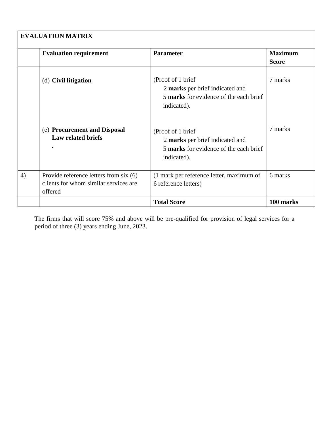|    | <b>EVALUATION MATRIX</b>                                                                   |                                                                                                                |                                |
|----|--------------------------------------------------------------------------------------------|----------------------------------------------------------------------------------------------------------------|--------------------------------|
|    | <b>Evaluation requirement</b>                                                              | <b>Parameter</b>                                                                                               | <b>Maximum</b><br><b>Score</b> |
|    | (d) Civil litigation                                                                       | (Proof of 1 brief)<br>2 marks per brief indicated and<br>5 marks for evidence of the each brief<br>indicated). | 7 marks                        |
|    | (e) Procurement and Disposal<br><b>Law related briefs</b>                                  | (Proof of 1 brief<br>2 marks per brief indicated and<br>5 marks for evidence of the each brief<br>indicated).  | 7 marks                        |
| 4) | Provide reference letters from six (6)<br>clients for whom similar services are<br>offered | (1 mark per reference letter, maximum of<br>6 reference letters)                                               | 6 marks                        |
|    |                                                                                            | <b>Total Score</b>                                                                                             | 100 marks                      |

The firms that will score 75% and above will be pre-qualified for provision of legal services for a period of three (3) years ending June, 2023.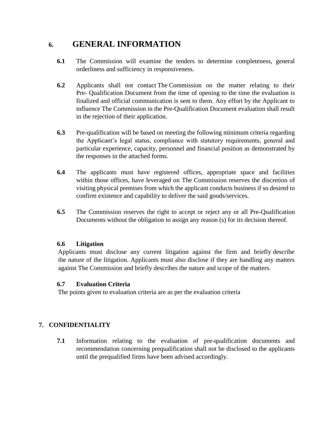## <span id="page-12-0"></span>**6. GENERAL INFORMATION**

- **6.1** The Commission will examine the tenders to determine completeness, general orderliness and sufficiency in responsiveness.
- **6.2** Applicants shall not contact The Commission on the matter relating to their Pre- Qualification Document from the time of opening to the time the evaluation is finalized and official communication is sent to them. Any effort by the Applicant to influence The Commission in the Pre-Qualification Document evaluation shall result in the rejection of their application.
- **6.3** Pre-qualification will be based on meeting the following minimum criteria regarding the Applicant's legal status, compliance with statutory requirements, general and particular experience, capacity, personnel and financial position as demonstrated by the responses in the attached forms.
- **6.4** The applicants must have registered offices, appropriate space and facilities within those offices, have leveraged on The Commission reserves the discretion of visiting physical premises from which the applicant conducts business if so desired to confirm existence and capability to deliver the said goods/services.
- **6.5** The Commission reserves the right to accept or reject any or all Pre-Qualification Documents without the obligation to assign any reason (s) for its decision thereof.

#### **6.6 Litigation**

Applicants must disclose any current litigation against the firm and briefly describe the nature of the litigation. Applicants must also disclose if they are handling any matters against The Commission and briefly describes the nature and scope of the matters.

#### **6.7 Evaluation Criteria**

The points given to evaluation criteria are as per the evaluation criteria

### **7. CONFIDENTIALITY**

**7.1** Information relating to the evaluation of pre-qualification documents and recommendation concerning prequalification shall not be disclosed to the applicants until the prequalified firms have been advised accordingly.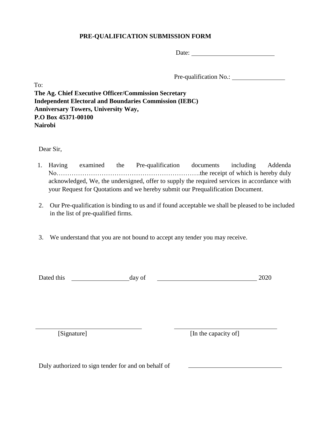#### **PRE-QUALIFICATION SUBMISSION FORM**

Date:

Pre-qualification No.:

To: **The Ag. Chief Executive Officer/Commission Secretary Independent Electoral and Boundaries Commission (IEBC) Anniversary Towers, University Way, P.O Box 45371-00100 Nairobi**

Dear Sir,

- 1. Having examined the Pre-qualification documents including Addenda No………………………………………………………….the receipt of which is hereby duly acknowledged, We, the undersigned, offer to supply the required services in accordance with your Request for Quotations and we hereby submit our Prequalification Document.
- 2. Our Pre-qualification is binding to us and if found acceptable we shall be pleased to be included in the list of pre-qualified firms.
- 3. We understand that you are not bound to accept any tender you may receive.

Dated this day of 2020

[Signature] [In the capacity of]

Duly authorized to sign tender for and on behalf of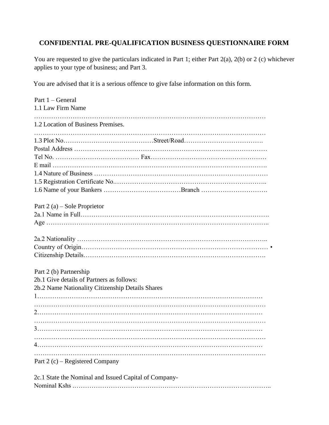## <span id="page-14-0"></span>**CONFIDENTIAL PRE-QUALIFICATION BUSINESS QUESTIONNAIRE FORM**

You are requested to give the particulars indicated in Part 1; either Part 2(a), 2(b) or 2 (c) whichever applies to your type of business; and Part 3.

You are advised that it is a serious offence to give false information on this form.

| Part 1 - General                                 |
|--------------------------------------------------|
| 1.1 Law Firm Name                                |
|                                                  |
| 1.2 Location of Business Premises.               |
|                                                  |
|                                                  |
|                                                  |
|                                                  |
|                                                  |
|                                                  |
|                                                  |
|                                                  |
|                                                  |
| Part $2(a)$ – Sole Proprietor                    |
|                                                  |
|                                                  |
|                                                  |
|                                                  |
|                                                  |
|                                                  |
| Part 2 (b) Partnership                           |
| 2b.1 Give details of Partners as follows:        |
| 2b.2 Name Nationality Citizenship Details Shares |
|                                                  |
|                                                  |
|                                                  |
|                                                  |
|                                                  |
|                                                  |
|                                                  |
|                                                  |
| Part 2 $(c)$ – Registered Company                |
|                                                  |

| 2c.1 State the Nominal and Issued Capital of Company- |
|-------------------------------------------------------|
|                                                       |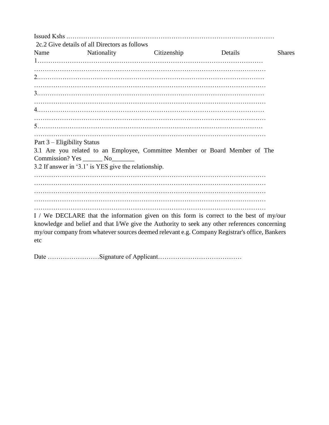Issued Kshs .…………………………………………………………………………………… 2c.2 Give details of all Directors as follows Name Nationality Citizenship Details Shares 1…………………………………………………………………………………………… ……………………………………………………………………………………………… 2.…………………………………………………………………………………………… ……………………………………………………………………………………………… 3.…………………………………………………………………………………………… ……………………………………………………………………………………………… 4.…………………………………………………………………………………………… ……………………………………………………………………………………………… 5…………………………………………………………………………………………… ……………………………………………………………………………………………… Part 3 – Eligibility Status 3.1 Are you related to an Employee, Committee Member or Board Member of The Commission? Yes \_\_\_\_\_\_ No\_\_\_\_\_\_\_ 3.2 If answer in '3.1' is YES give the relationship. ……………………………………………………………………………………………… ……………………………………………………………………………………………… ……………………………………………………………………………………………… ……………………………………………………………………………………………… ……………………………………………………………………………………………… I / We DECLARE that the information given on this form is correct to the best of my/our knowledge and belief and that I/We give the Authority to seek any other references concerning my/our company from whatever sources deemed relevant e.g. Company Registrar's office, Bankers etc

Date ……………………Signature of Applicant…………………………………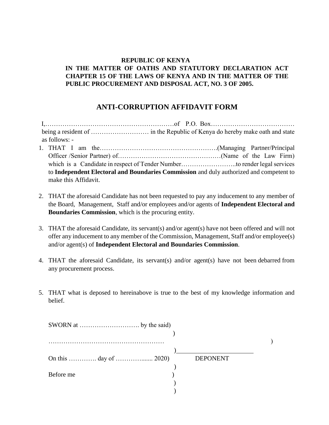#### **REPUBLIC OF KENYA IN THE MATTER OF OATHS AND STATUTORY DECLARATION ACT CHAPTER 15 OF THE LAWS OF KENYA AND IN THE MATTER OF THE PUBLIC PROCUREMENT AND DISPOSAL ACT, NO. 3 OF 2005.**

### **ANTI-CORRUPTION AFFIDAVIT FORM**

<span id="page-16-0"></span>I,……………………………………………………of P.O. Box………………………………… being a resident of ……………………… in the Republic of Kenya do hereby make oath and state as follows: - 1. THAT I am the……………………………………………….(Managing Partner/Principal Officer /Senior Partner) of…………………………………………(Name of the Law Firm) which is a Candidate in respect of Tender Number...............................to render legal services to **Independent Electoral and Boundaries Commission** and duly authorized and competent to make this Affidavit.

- 2. THAT the aforesaid Candidate has not been requested to pay any inducement to any member of the Board, Management, Staff and/or employees and/or agents of **Independent Electoral and Boundaries Commission**, which is the procuring entity.
- 3. THAT the aforesaid Candidate, its servant(s) and/or agent(s) have not been offered and will not offer any inducement to any member of the Commission, Management, Staff and/or employee(s) and/or agent(s) of **Independent Electoral and Boundaries Commission**.
- 4. THAT the aforesaid Candidate, its servant(s) and/or agent(s) have not been debarred from any procurement process.
- 5. THAT what is deposed to hereinabove is true to the best of my knowledge information and belief.

|           | <b>DEPONENT</b> |
|-----------|-----------------|
|           |                 |
| Before me |                 |
|           |                 |
|           |                 |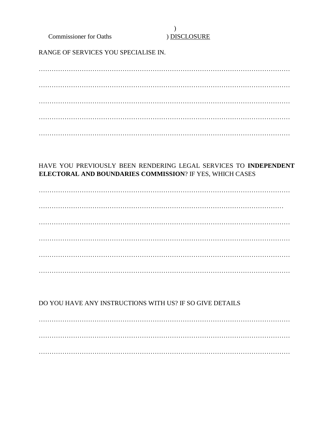**Commissioner for Oaths** 

#### $\mathcal{L}$ **DISCLOSURE**

RANGE OF SERVICES YOU SPECIALISE IN.

### HAVE YOU PREVIOUSLY BEEN RENDERING LEGAL SERVICES TO INDEPENDENT **ELECTORAL AND BOUNDARIES COMMISSION? IF YES, WHICH CASES**

### DO YOU HAVE ANY INSTRUCTIONS WITH US? IF SO GIVE DETAILS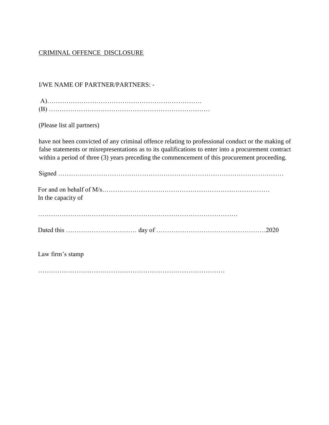### CRIMINAL OFFENCE DISCLOSURE

#### I/WE NAME OF PARTNER/PARTNERS: -

| (Please list all partners)                                                                                                                                                                                                                                                                                 |
|------------------------------------------------------------------------------------------------------------------------------------------------------------------------------------------------------------------------------------------------------------------------------------------------------------|
| have not been convicted of any criminal offence relating to professional conduct or the making of<br>false statements or misrepresentations as to its qualifications to enter into a procurement contract<br>within a period of three (3) years preceding the commencement of this procurement proceeding. |
|                                                                                                                                                                                                                                                                                                            |

| In the capacity of |
|--------------------|
|                    |
|                    |
|                    |

| Dated |  |  |  |
|-------|--|--|--|
|-------|--|--|--|

Law firm's stamp

……………………………………………………………………………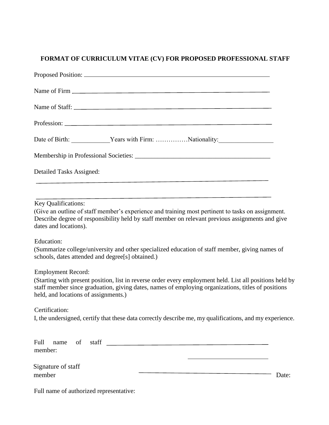### <span id="page-19-0"></span>**FORMAT OF CURRICULUM VITAE (CV) FOR PROPOSED PROFESSIONAL STAFF**

| Name of Staff:                                                                                                                                                                                                                                                                      |  |  |
|-------------------------------------------------------------------------------------------------------------------------------------------------------------------------------------------------------------------------------------------------------------------------------------|--|--|
|                                                                                                                                                                                                                                                                                     |  |  |
| Date of Birth: Vears with Firm: Nationality:                                                                                                                                                                                                                                        |  |  |
|                                                                                                                                                                                                                                                                                     |  |  |
| Detailed Tasks Assigned:                                                                                                                                                                                                                                                            |  |  |
| <u> 1989 - Johann John Stone, market fan de Amerikaansk kommunister († 1958)</u>                                                                                                                                                                                                    |  |  |
| Key Qualifications:<br>(Give an outline of staff member's experience and training most pertinent to tasks on assignment.<br>Describe degree of responsibility held by staff member on relevant previous assignments and give<br>dates and locations).                               |  |  |
| Education:<br>(Summarize college/university and other specialized education of staff member, giving names of<br>schools, dates attended and degree[s] obtained.)                                                                                                                    |  |  |
| <b>Employment Record:</b><br>(Starting with present position, list in reverse order every employment held. List all positions held by<br>staff member since graduation, giving dates, names of employing organizations, titles of positions<br>held, and locations of assignments.) |  |  |
| Certification:<br>I, the undersigned, certify that these data correctly describe me, my qualifications, and my experience.                                                                                                                                                          |  |  |
| Full<br>member:                                                                                                                                                                                                                                                                     |  |  |
| Signature of staff<br><u> 1980 - Johann Barn, amerikan besteman besteman besteman besteman besteman besteman besteman besteman besteman</u><br>member<br>Date:                                                                                                                      |  |  |

Full name of authorized representative: